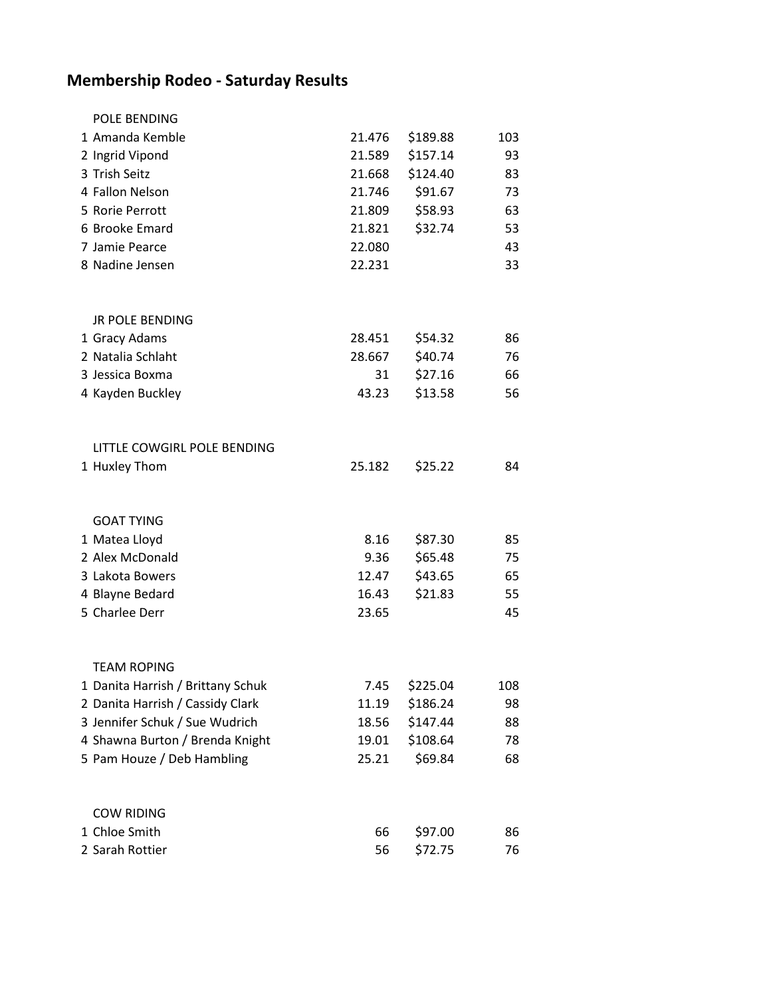## **Membership Rodeo - Saturday Results**

| <b>POLE BENDING</b>               |        |          |     |
|-----------------------------------|--------|----------|-----|
| 1 Amanda Kemble                   | 21.476 | \$189.88 | 103 |
| 2 Ingrid Vipond                   | 21.589 | \$157.14 | 93  |
| 3 Trish Seitz                     | 21.668 | \$124.40 | 83  |
| 4 Fallon Nelson                   | 21.746 | \$91.67  | 73  |
| 5 Rorie Perrott                   | 21.809 | \$58.93  | 63  |
| 6 Brooke Emard                    | 21.821 | \$32.74  | 53  |
| 7 Jamie Pearce                    | 22.080 |          | 43  |
| 8 Nadine Jensen                   | 22.231 |          | 33  |
| <b>JR POLE BENDING</b>            |        |          |     |
| 1 Gracy Adams                     | 28.451 | \$54.32  | 86  |
| 2 Natalia Schlaht                 | 28.667 | \$40.74  | 76  |
| 3 Jessica Boxma                   | 31     | \$27.16  | 66  |
| 4 Kayden Buckley                  | 43.23  | \$13.58  | 56  |
| LITTLE COWGIRL POLE BENDING       |        |          |     |
| 1 Huxley Thom                     | 25.182 | \$25.22  | 84  |
| <b>GOAT TYING</b>                 |        |          |     |
| 1 Matea Lloyd                     | 8.16   | \$87.30  | 85  |
| 2 Alex McDonald                   | 9.36   | \$65.48  | 75  |
| 3 Lakota Bowers                   | 12.47  | \$43.65  | 65  |
| 4 Blayne Bedard                   | 16.43  | \$21.83  | 55  |
| 5 Charlee Derr                    | 23.65  |          | 45  |
| <b>TEAM ROPING</b>                |        |          |     |
| 1 Danita Harrish / Brittany Schuk | 7.45   | \$225.04 | 108 |
| 2 Danita Harrish / Cassidy Clark  | 11.19  | \$186.24 | 98  |
| 3 Jennifer Schuk / Sue Wudrich    | 18.56  | \$147.44 | 88  |
| 4 Shawna Burton / Brenda Knight   | 19.01  | \$108.64 | 78  |
| 5 Pam Houze / Deb Hambling        | 25.21  | \$69.84  | 68  |
| <b>COW RIDING</b>                 |        |          |     |
| 1 Chloe Smith                     | 66     | \$97.00  | 86  |
| 2 Sarah Rottier                   | 56     | \$72.75  | 76  |